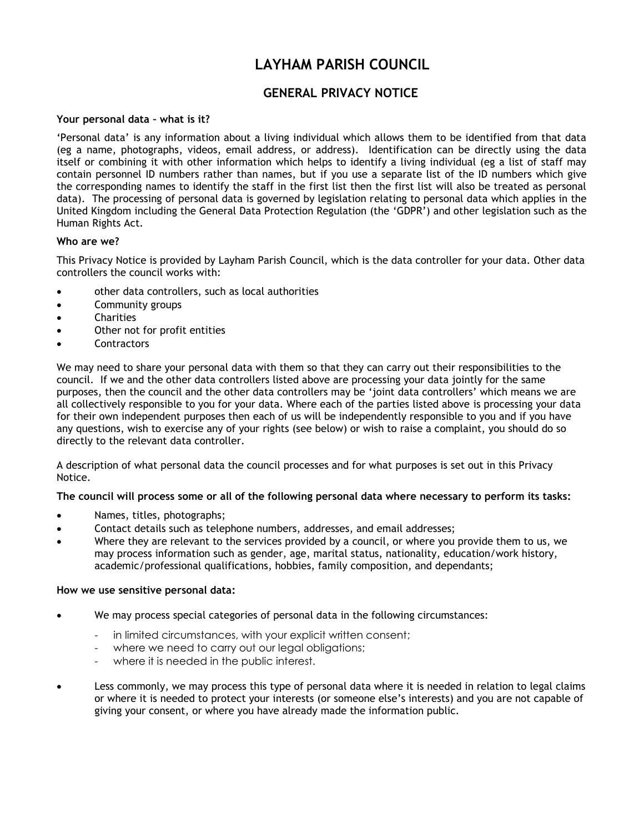# **LAYHAM PARISH COUNCIL**

## **GENERAL PRIVACY NOTICE**

## **Your personal data – what is it?**

'Personal data' is any information about a living individual which allows them to be identified from that data (eg a name, photographs, videos, email address, or address). Identification can be directly using the data itself or combining it with other information which helps to identify a living individual (eg a list of staff may contain personnel ID numbers rather than names, but if you use a separate list of the ID numbers which give the corresponding names to identify the staff in the first list then the first list will also be treated as personal data). The processing of personal data is governed by legislation relating to personal data which applies in the United Kingdom including the General Data Protection Regulation (the 'GDPR') and other legislation such as the Human Rights Act.

## **Who are we?**

This Privacy Notice is provided by Layham Parish Council, which is the data controller for your data. Other data controllers the council works with:

- other data controllers, such as local authorities
- Community groups
- **Charities**
- Other not for profit entities
- **Contractors**

We may need to share your personal data with them so that they can carry out their responsibilities to the council. If we and the other data controllers listed above are processing your data jointly for the same purposes, then the council and the other data controllers may be 'joint data controllers' which means we are all collectively responsible to you for your data. Where each of the parties listed above is processing your data for their own independent purposes then each of us will be independently responsible to you and if you have any questions, wish to exercise any of your rights (see below) or wish to raise a complaint, you should do so directly to the relevant data controller.

A description of what personal data the council processes and for what purposes is set out in this Privacy Notice.

#### **The council will process some or all of the following personal data where necessary to perform its tasks:**

- Names, titles, photographs;
- Contact details such as telephone numbers, addresses, and email addresses;
- Where they are relevant to the services provided by a council, or where you provide them to us, we may process information such as gender, age, marital status, nationality, education/work history, academic/professional qualifications, hobbies, family composition, and dependants;

#### **How we use sensitive personal data:**

- We may process special categories of personal data in the following circumstances:
	- in limited circumstances, with your explicit written consent;
	- where we need to carry out our legal obligations;
	- where it is needed in the public interest.
- Less commonly, we may process this type of personal data where it is needed in relation to legal claims or where it is needed to protect your interests (or someone else's interests) and you are not capable of giving your consent, or where you have already made the information public.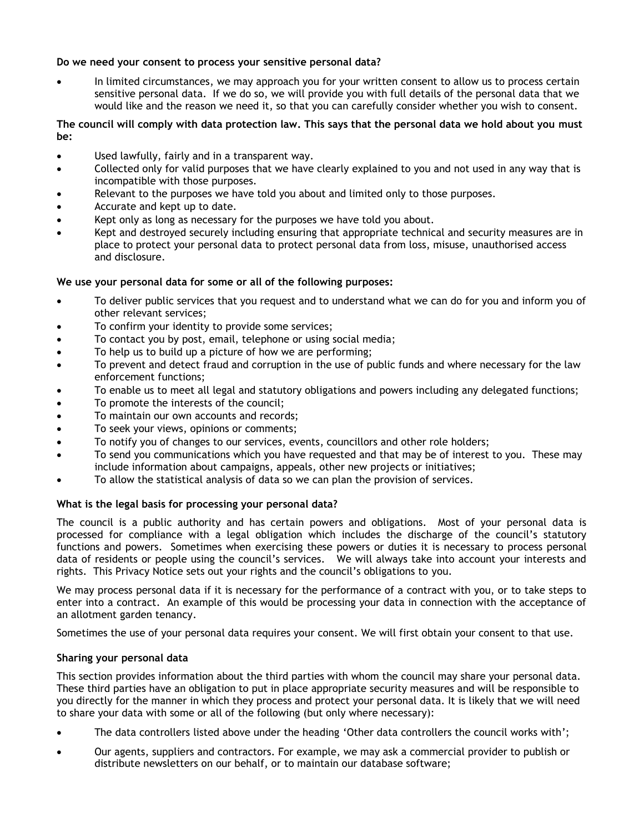## **Do we need your consent to process your sensitive personal data?**

 In limited circumstances, we may approach you for your written consent to allow us to process certain sensitive personal data. If we do so, we will provide you with full details of the personal data that we would like and the reason we need it, so that you can carefully consider whether you wish to consent.

## **The council will comply with data protection law. This says that the personal data we hold about you must be:**

- Used lawfully, fairly and in a transparent way.
- Collected only for valid purposes that we have clearly explained to you and not used in any way that is incompatible with those purposes.
- Relevant to the purposes we have told you about and limited only to those purposes.
- Accurate and kept up to date.
- Kept only as long as necessary for the purposes we have told you about.
- Kept and destroyed securely including ensuring that appropriate technical and security measures are in place to protect your personal data to protect personal data from loss, misuse, unauthorised access and disclosure.

## **We use your personal data for some or all of the following purposes:**

- To deliver public services that you request and to understand what we can do for you and inform you of other relevant services;
- To confirm your identity to provide some services;
- To contact you by post, email, telephone or using social media;
- To help us to build up a picture of how we are performing;
- To prevent and detect fraud and corruption in the use of public funds and where necessary for the law enforcement functions;
- To enable us to meet all legal and statutory obligations and powers including any delegated functions;
- To promote the interests of the council;
- To maintain our own accounts and records;
- To seek your views, opinions or comments;
- To notify you of changes to our services, events, councillors and other role holders;
- To send you communications which you have requested and that may be of interest to you. These may include information about campaigns, appeals, other new projects or initiatives;
- To allow the statistical analysis of data so we can plan the provision of services.

## **What is the legal basis for processing your personal data?**

The council is a public authority and has certain powers and obligations. Most of your personal data is processed for compliance with a legal obligation which includes the discharge of the council's statutory functions and powers. Sometimes when exercising these powers or duties it is necessary to process personal data of residents or people using the council's services. We will always take into account your interests and rights. This Privacy Notice sets out your rights and the council's obligations to you.

We may process personal data if it is necessary for the performance of a contract with you, or to take steps to enter into a contract. An example of this would be processing your data in connection with the acceptance of an allotment garden tenancy.

Sometimes the use of your personal data requires your consent. We will first obtain your consent to that use.

#### **Sharing your personal data**

This section provides information about the third parties with whom the council may share your personal data. These third parties have an obligation to put in place appropriate security measures and will be responsible to you directly for the manner in which they process and protect your personal data. It is likely that we will need to share your data with some or all of the following (but only where necessary):

- The data controllers listed above under the heading 'Other data controllers the council works with';
- Our agents, suppliers and contractors. For example, we may ask a commercial provider to publish or distribute newsletters on our behalf, or to maintain our database software;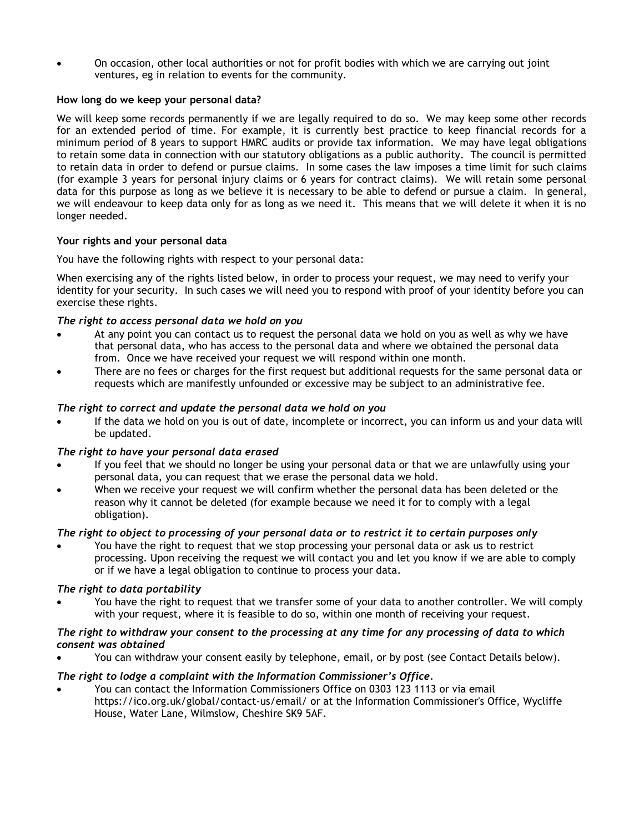On occasion, other local authorities or not for profit bodies with which we are carrying out joint ventures, eg in relation to events for the community.

## **How long do we keep your personal data?**

We will keep some records permanently if we are legally required to do so. We may keep some other records for an extended period of time. For example, it is currently best practice to keep financial records for a minimum period of 8 years to support HMRC audits or provide tax information. We may have legal obligations to retain some data in connection with our statutory obligations as a public authority. The council is permitted to retain data in order to defend or pursue claims. In some cases the law imposes a time limit for such claims (for example 3 years for personal injury claims or 6 years for contract claims). We will retain some personal data for this purpose as long as we believe it is necessary to be able to defend or pursue a claim. In general, we will endeavour to keep data only for as long as we need it. This means that we will delete it when it is no longer needed.

## **Your rights and your personal data**

You have the following rights with respect to your personal data:

When exercising any of the rights listed below, in order to process your request, we may need to verify your identity for your security. In such cases we will need you to respond with proof of your identity before you can exercise these rights.

## *The right to access personal data we hold on you*

- At any point you can contact us to request the personal data we hold on you as well as why we have that personal data, who has access to the personal data and where we obtained the personal data from. Once we have received your request we will respond within one month.
- There are no fees or charges for the first request but additional requests for the same personal data or requests which are manifestly unfounded or excessive may be subject to an administrative fee.

## *The right to correct and update the personal data we hold on you*

 If the data we hold on you is out of date, incomplete or incorrect, you can inform us and your data will be updated.

## *The right to have your personal data erased*

- If you feel that we should no longer be using your personal data or that we are unlawfully using your personal data, you can request that we erase the personal data we hold.
- When we receive your request we will confirm whether the personal data has been deleted or the reason why it cannot be deleted (for example because we need it for to comply with a legal obligation).

## *The right to object to processing of your personal data or to restrict it to certain purposes only*

 You have the right to request that we stop processing your personal data or ask us to restrict processing. Upon receiving the request we will contact you and let you know if we are able to comply or if we have a legal obligation to continue to process your data.

## *The right to data portability*

 You have the right to request that we transfer some of your data to another controller. We will comply with your request, where it is feasible to do so, within one month of receiving your request.

#### *The right to withdraw your consent to the processing at any time for any processing of data to which consent was obtained*

You can withdraw your consent easily by telephone, email, or by post (see Contact Details below).

## *The right to lodge a complaint with the Information Commissioner's Office.*

 You can contact the Information Commissioners Office on 0303 123 1113 or via email https://ico.org.uk/global/contact-us/email/ or at the Information Commissioner's Office, Wycliffe House, Water Lane, Wilmslow, Cheshire SK9 5AF.